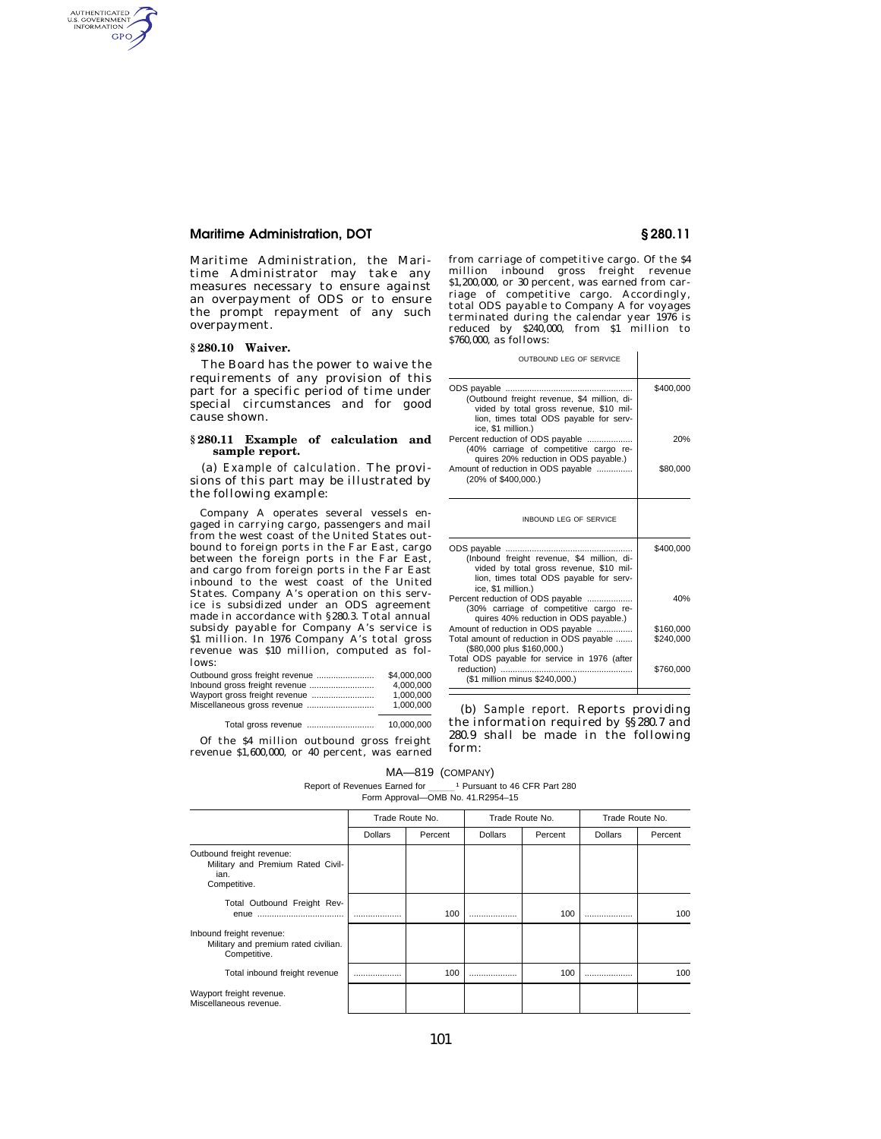## **Maritime Administration, DOT § 280.11**

Maritime Administration, the Maritime Administrator may take any measures necessary to ensure against an overpayment of ODS or to ensure the prompt repayment of any such overpayment.

### **§ 280.10 Waiver.**

AUTHENTICATED<br>U.S. GOVERNMENT<br>INFORMATION **GPO** 

> The Board has the power to waive the requirements of any provision of this part for a specific period of time under special circumstances and for good cause shown.

### **§ 280.11 Example of calculation and sample report.**

(a) *Example of calculation.* The provisions of this part may be illustrated by the following example:

Company A operates several vessels engaged in carrying cargo, passengers and mail from the west coast of the United States outbound to foreign ports in the Far East, cargo between the foreign ports in the Far East, and cargo from foreign ports in the Far East inbound to the west coast of the United States. Company A's operation on this service is subsidized under an ODS agreement made in accordance with §280.3. Total annual subsidy payable for Company A's service is \$1 million. In 1976 Company A's total gross revenue was \$10 million, computed as follows:

| \$4,000,000 |
|-------------|
| 4.000.000   |
| 1.000.000   |
| 1.000.000   |
|             |

Total gross revenue ............................ 10,000,000

Of the \$4 million outbound gross freight revenue \$1,600,000, or 40 percent, was earned from carriage of competitive cargo. Of the \$4 million inbound gross freight revenue \$1,200,000, or 30 percent, was earned from carriage of competitive cargo. Accordingly, total ODS payable to Company A for voyages terminated during the calendar year 1976 is reduced by \$240,000, from \$1 million to \$760,000, as follows:

OUTBOUND LEG OF SERVICE

| (Outbound freight revenue, \$4 million, di-<br>vided by total gross revenue, \$10 mil-<br>lion, times total ODS payable for serv-<br>ice, \$1 million.) | \$400.000 |  |  |
|---------------------------------------------------------------------------------------------------------------------------------------------------------|-----------|--|--|
| Percent reduction of ODS payable<br>(40% carriage of competitive cargo re-                                                                              | 20%       |  |  |
| quires 20% reduction in ODS payable.)                                                                                                                   |           |  |  |
| Amount of reduction in ODS payable<br>(20% of \$400,000.)                                                                                               | \$80,000  |  |  |
| INBOUND LEG OF SERVICE                                                                                                                                  |           |  |  |
| (Inbound freight revenue, \$4 million, di-<br>vided by total gross revenue, \$10 mil-<br>lion, times total ODS payable for serv-<br>ice, \$1 million.)  | \$400.000 |  |  |
| Percent reduction of ODS payable<br>(30% carriage of competitive cargo re-<br>quires 40% reduction in ODS payable.)                                     | 40%       |  |  |
| Amount of reduction in ODS payable                                                                                                                      | \$160,000 |  |  |
| Total amount of reduction in ODS payable<br>(\$80,000 plus \$160,000.)                                                                                  | \$240,000 |  |  |
| Total ODS payable for service in 1976 (after<br>reduction)<br>(\$1 million minus \$240,000.)                                                            | \$760,000 |  |  |

(b) *Sample report.* Reports providing the information required by §§280.7 and 280.9 shall be made in the following form:

### MA—819 (COMPANY)

Report of Revenues Earned for \_\_\_\_\_\_<sup>1</sup> Pursuant to 46 CFR Part 280 Ferm Approval—OMB No. 41.R2954–15

|                                                                                        | Trade Route No. |         | Trade Route No. |         | Trade Route No. |         |
|----------------------------------------------------------------------------------------|-----------------|---------|-----------------|---------|-----------------|---------|
|                                                                                        | <b>Dollars</b>  | Percent | <b>Dollars</b>  | Percent | <b>Dollars</b>  | Percent |
| Outbound freight revenue:<br>Military and Premium Rated Civil-<br>ian.<br>Competitive. |                 |         |                 |         |                 |         |
| Total Outbound Freight Rev-                                                            |                 | 100     |                 | 100     |                 | 100     |
| Inbound freight revenue:<br>Military and premium rated civilian.<br>Competitive.       |                 |         |                 |         |                 |         |
| Total inbound freight revenue                                                          |                 | 100     |                 | 100     |                 | 100     |
| Wayport freight revenue.<br>Miscellaneous revenue.                                     |                 |         |                 |         |                 |         |